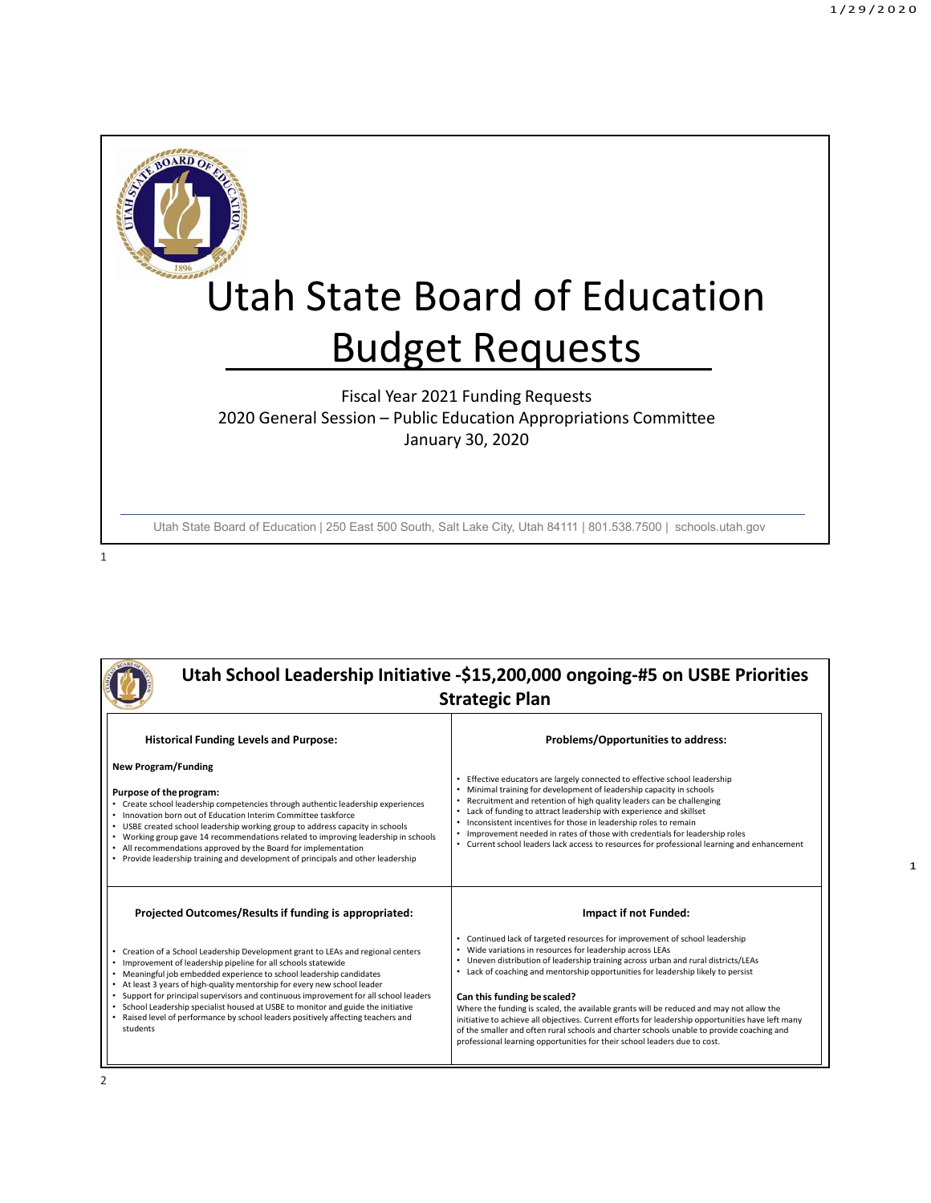1



## Utah State Board of Education Budget Requests

Fiscal Year 2021 Funding Requests 2020 General Session – Public Education Appropriations Committee January 30, 2020

Utah State Board of Education | 250 East 500 South, Salt Lake City, Utah 84111 | 801.538.7500 | schools.utah.gov

1

| Utah School Leadership Initiative -\$15,200,000 ongoing-#5 on USBE Priorities<br><b>Strategic Plan</b>                                                                                                                                                                                                                                                                                                                                                                                                                                                                           |                                                                                                                                                                                                                                                                                                                                                                                                                                                                                                                                                                                                                                                                                                                                   |  |
|----------------------------------------------------------------------------------------------------------------------------------------------------------------------------------------------------------------------------------------------------------------------------------------------------------------------------------------------------------------------------------------------------------------------------------------------------------------------------------------------------------------------------------------------------------------------------------|-----------------------------------------------------------------------------------------------------------------------------------------------------------------------------------------------------------------------------------------------------------------------------------------------------------------------------------------------------------------------------------------------------------------------------------------------------------------------------------------------------------------------------------------------------------------------------------------------------------------------------------------------------------------------------------------------------------------------------------|--|
| <b>Historical Funding Levels and Purpose:</b>                                                                                                                                                                                                                                                                                                                                                                                                                                                                                                                                    | Problems/Opportunities to address:                                                                                                                                                                                                                                                                                                                                                                                                                                                                                                                                                                                                                                                                                                |  |
| <b>New Program/Funding</b><br>Purpose of the program:<br>• Create school leadership competencies through authentic leadership experiences<br>. Innovation born out of Education Interim Committee taskforce<br>• USBE created school leadership working group to address capacity in schools<br>• Working group gave 14 recommendations related to improving leadership in schools<br>• All recommendations approved by the Board for implementation<br>• Provide leadership training and development of principals and other leadership                                         | Effective educators are largely connected to effective school leadership<br>$\bullet$<br>Minimal training for development of leadership capacity in schools<br>٠<br>Recruitment and retention of high quality leaders can be challenging<br>٠<br>Lack of funding to attract leadership with experience and skillset<br>٠<br>Inconsistent incentives for those in leadership roles to remain<br>٠<br>Improvement needed in rates of those with credentials for leadership roles<br>٠<br>• Current school leaders lack access to resources for professional learning and enhancement                                                                                                                                                |  |
| Projected Outcomes/Results if funding is appropriated:                                                                                                                                                                                                                                                                                                                                                                                                                                                                                                                           | Impact if not Funded:                                                                                                                                                                                                                                                                                                                                                                                                                                                                                                                                                                                                                                                                                                             |  |
| • Creation of a School Leadership Development grant to LEAs and regional centers<br>• Improvement of leadership pipeline for all schools statewide<br>• Meaningful job embedded experience to school leadership candidates<br>At least 3 years of high-quality mentorship for every new school leader<br>Support for principal supervisors and continuous improvement for all school leaders<br>School Leadership specialist housed at USBE to monitor and guide the initiative<br>. Raised level of performance by school leaders positively affecting teachers and<br>students | • Continued lack of targeted resources for improvement of school leadership<br>Wide variations in resources for leadership across LEAs<br>٠<br>• Uneven distribution of leadership training across urban and rural districts/LEAs<br>Lack of coaching and mentorship opportunities for leadership likely to persist<br>٠<br>Can this funding be scaled?<br>Where the funding is scaled, the available grants will be reduced and may not allow the<br>initiative to achieve all objectives. Current efforts for leadership opportunities have left many<br>of the smaller and often rural schools and charter schools unable to provide coaching and<br>professional learning opportunities for their school leaders due to cost. |  |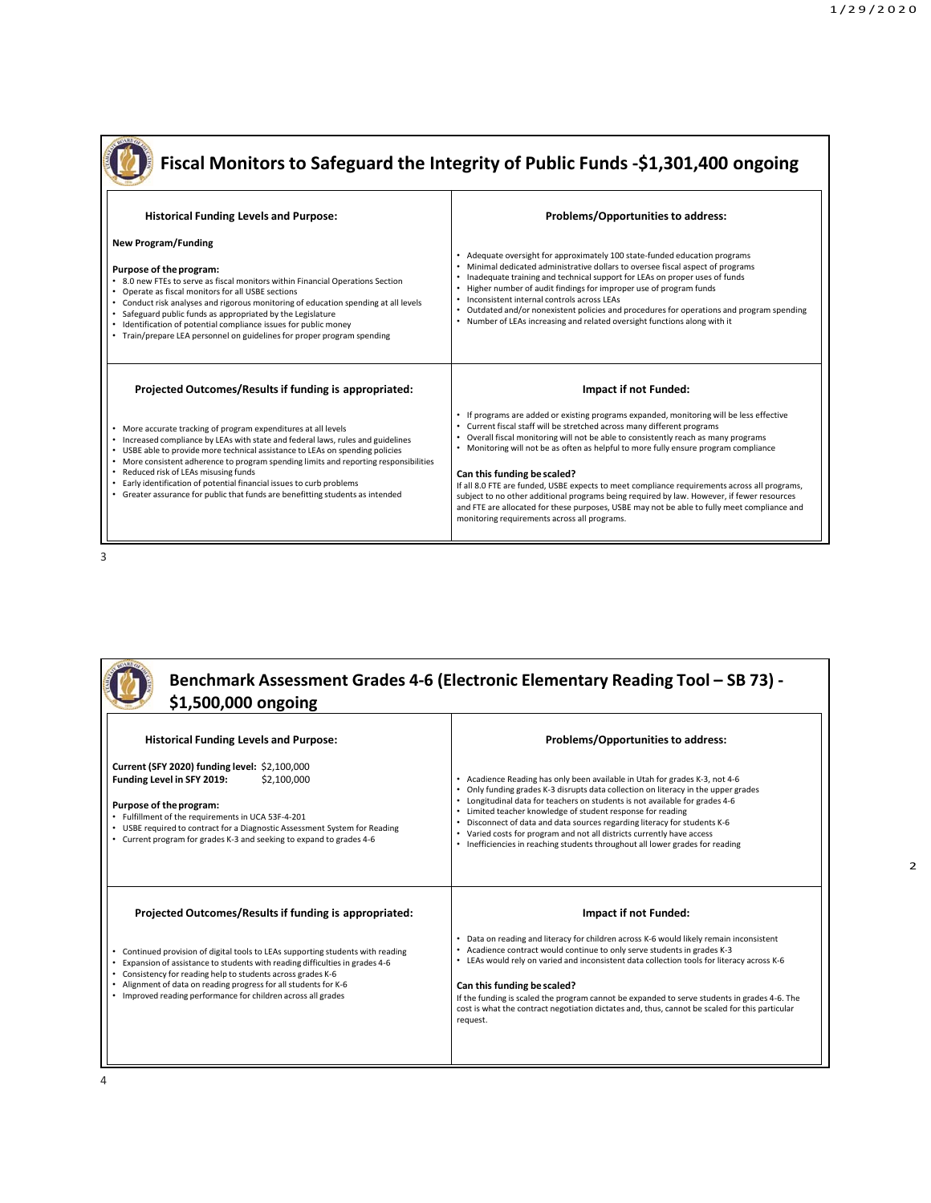2



## **Fiscal Monitors to Safeguard the Integrity of Public Funds ‐\$1,301,400 ongoing**

| <b>Historical Funding Levels and Purpose:</b>                                                                                                                                                                                                                                                                                                                                                                                                                                                | Problems/Opportunities to address:                                                                                                                                                                                                                                                                                                                                                                                                                                                                                               |
|----------------------------------------------------------------------------------------------------------------------------------------------------------------------------------------------------------------------------------------------------------------------------------------------------------------------------------------------------------------------------------------------------------------------------------------------------------------------------------------------|----------------------------------------------------------------------------------------------------------------------------------------------------------------------------------------------------------------------------------------------------------------------------------------------------------------------------------------------------------------------------------------------------------------------------------------------------------------------------------------------------------------------------------|
| <b>New Program/Funding</b><br>Purpose of the program:<br>. 8.0 new FTEs to serve as fiscal monitors within Financial Operations Section<br>Operate as fiscal monitors for all USBE sections<br>• Conduct risk analyses and rigorous monitoring of education spending at all levels<br>Safeguard public funds as appropriated by the Legislature<br>Identification of potential compliance issues for public money<br>• Train/prepare LEA personnel on guidelines for proper program spending | Adequate oversight for approximately 100 state-funded education programs<br>Minimal dedicated administrative dollars to oversee fiscal aspect of programs<br>Inadequate training and technical support for LEAs on proper uses of funds<br>Higher number of audit findings for improper use of program funds<br>Inconsistent internal controls across LEAs<br>Outdated and/or nonexistent policies and procedures for operations and program spending<br>Number of LEAs increasing and related oversight functions along with it |
|                                                                                                                                                                                                                                                                                                                                                                                                                                                                                              |                                                                                                                                                                                                                                                                                                                                                                                                                                                                                                                                  |
| Projected Outcomes/Results if funding is appropriated:                                                                                                                                                                                                                                                                                                                                                                                                                                       | Impact if not Funded:                                                                                                                                                                                                                                                                                                                                                                                                                                                                                                            |

3

## **Benchmark Assessment Grades 4‐6 (Electronic Elementary Reading Tool – SB 73) ‐ \$1,500,000 ongoing**

| <b>Historical Funding Levels and Purpose:</b>                                                                                                                                                                                                                                                                                                                 | Problems/Opportunities to address:                                                                                                                                                                                                                                                                                                                                                                                                                                                                                                                       |
|---------------------------------------------------------------------------------------------------------------------------------------------------------------------------------------------------------------------------------------------------------------------------------------------------------------------------------------------------------------|----------------------------------------------------------------------------------------------------------------------------------------------------------------------------------------------------------------------------------------------------------------------------------------------------------------------------------------------------------------------------------------------------------------------------------------------------------------------------------------------------------------------------------------------------------|
| Current (SFY 2020) funding level: \$2,100,000<br>Funding Level in SFY 2019:<br>\$2.100.000<br>Purpose of the program:<br>• Fulfillment of the requirements in UCA 53F-4-201<br>• USBE required to contract for a Diagnostic Assessment System for Reading<br>• Current program for grades K-3 and seeking to expand to grades 4-6                             | • Acadience Reading has only been available in Utah for grades K-3, not 4-6<br>• Only funding grades K-3 disrupts data collection on literacy in the upper grades<br>• Longitudinal data for teachers on students is not available for grades 4-6<br>• Limited teacher knowledge of student response for reading<br>• Disconnect of data and data sources regarding literacy for students K-6<br>• Varied costs for program and not all districts currently have access<br>• Inefficiencies in reaching students throughout all lower grades for reading |
| Projected Outcomes/Results if funding is appropriated:                                                                                                                                                                                                                                                                                                        | Impact if not Funded:                                                                                                                                                                                                                                                                                                                                                                                                                                                                                                                                    |
| Continued provision of digital tools to LEAs supporting students with reading<br>Expansion of assistance to students with reading difficulties in grades 4-6<br>Consistency for reading help to students across grades K-6<br>Alignment of data on reading progress for all students for K-6<br>• Improved reading performance for children across all grades | • Data on reading and literacy for children across K-6 would likely remain inconsistent<br>Acadience contract would continue to only serve students in grades K-3<br>• LEAs would rely on varied and inconsistent data collection tools for literacy across K-6<br>Can this funding be scaled?<br>If the funding is scaled the program cannot be expanded to serve students in grades 4-6. The<br>cost is what the contract negotiation dictates and, thus, cannot be scaled for this particular<br>request.                                             |